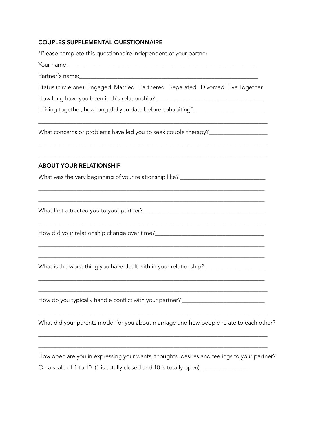## COUPLES SUPPLEMENTAL QUESTIONNAIRE

| *Please complete this questionnaire independent of your partner                                                     |
|---------------------------------------------------------------------------------------------------------------------|
|                                                                                                                     |
|                                                                                                                     |
| Status (circle one): Engaged Married Partnered Separated Divorced Live Together                                     |
| How long have you been in this relationship? ___________________________________                                    |
| If living together, how long did you date before cohabiting? ___________________                                    |
| What concerns or problems have led you to seek couple therapy?__________________                                    |
| ,我们也不能在这里的人,我们也不能在这里的人,我们也不能在这里的人,我们也不能在这里的人,我们也不能在这里的人,我们也不能在这里的人,我们也不能在这里的人,我们也<br><b>ABOUT YOUR RELATIONSHIP</b> |
| What was the very beginning of your relationship like? _________________________                                    |
|                                                                                                                     |
|                                                                                                                     |
| What is the worst thing you have dealt with in your relationship? _______________                                   |
| How do you typically handle conflict with your partner? ________________________                                    |
| What did your parents model for you about marriage and how people relate to each other?                             |
| How open are you in expressing your wants, thoughts, desires and feelings to your partner?                          |
| On a scale of 1 to 10 (1 is totally closed and 10 is totally open)                                                  |